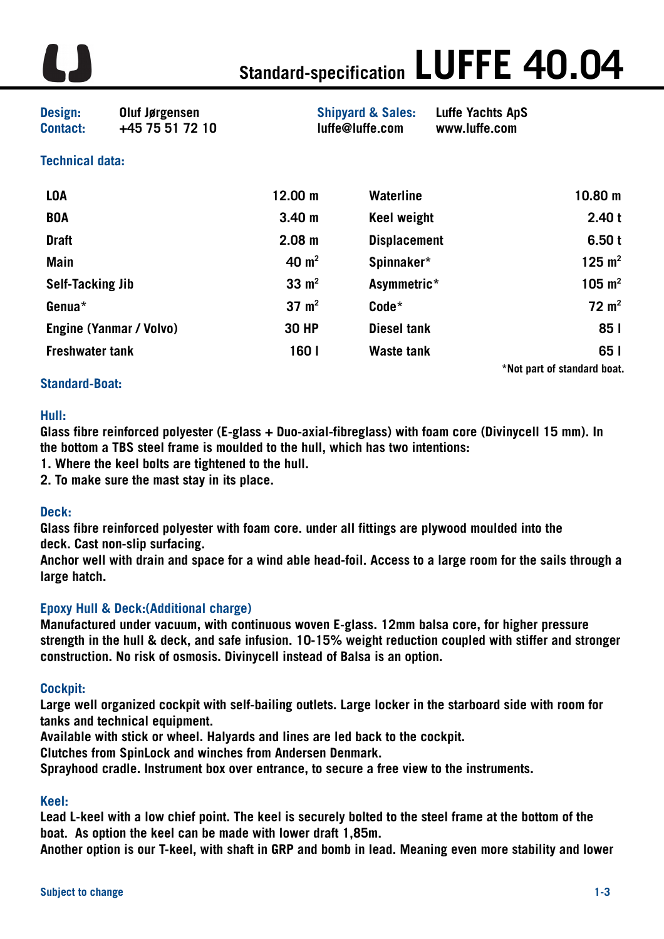

# **Standard-specification LUFFE 40.04**

**Design: Oluf Jørgensen Shipyard & Sales: Luffe Yachts ApS Contact: +45 75 51 72 10 [luffe@luffe.com](mailto:luffe@luffe.com) www.luffe.com** 

# **Technical data:**

| <b>LOA</b>                     | 12.00 m           | <b>Waterline</b>    | $10.80 \; m$                |
|--------------------------------|-------------------|---------------------|-----------------------------|
| <b>BOA</b>                     | 3.40 <sub>m</sub> | <b>Keel weight</b>  | 2.40t                       |
| <b>Draft</b>                   | 2.08 <sub>m</sub> | <b>Displacement</b> | 6.50t                       |
| <b>Main</b>                    | 40 $m2$           | Spinnaker*          | 125 $m2$                    |
| <b>Self-Tacking Jib</b>        | $33 \text{ m}^2$  | Asymmetric*         | 105 $m2$                    |
| Genua*                         | $37 \text{ m}^2$  | Code*               | $72 \text{ m}^2$            |
| <b>Engine (Yanmar / Volvo)</b> | <b>30 HP</b>      | <b>Diesel tank</b>  | 85 I                        |
| <b>Freshwater tank</b>         | 160 l             | <b>Waste tank</b>   | 65 I                        |
|                                |                   |                     | *Not part of standard boat. |

## **Standard-Boat:**

#### **Hull:**

**Glass fibre reinforced polyester (E-glass + Duo-axial-fibreglass) with foam core (Divinycell 15 mm). In the bottom a TBS steel frame is moulded to the hull, which has two intentions:** 

- **1. Where the keel bolts are tightened to the hull.**
- **2. To make sure the mast stay in its place.**

#### **Deck:**

**Glass fibre reinforced polyester with foam core. under all fittings are plywood moulded into the deck. Cast non-slip surfacing.** 

**Anchor well with drain and space for a wind able head-foil. Access to a large room for the sails through a large hatch.**

#### **Epoxy Hull & Deck:(Additional charge)**

**Manufactured under vacuum, with continuous woven E-glass. 12mm balsa core, for higher pressure strength in the hull & deck, and safe infusion. 10-15% weight reduction coupled with stiffer and stronger construction. No risk of osmosis. Divinycell instead of Balsa is an option.**

#### **Cockpit:**

**Large well organized cockpit with self-bailing outlets. Large locker in the starboard side with room for tanks and technical equipment.** 

**Available with stick or wheel. Halyards and lines are led back to the cockpit.** 

**Clutches from SpinLock and winches from Andersen Denmark.**

**Sprayhood cradle. Instrument box over entrance, to secure a free view to the instruments.**

#### **Keel:**

**Lead L-keel with a low chief point. The keel is securely bolted to the steel frame at the bottom of the boat. As option the keel can be made with lower draft 1,85m.** 

**Another option is our T-keel, with shaft in GRP and bomb in lead. Meaning even more stability and lower**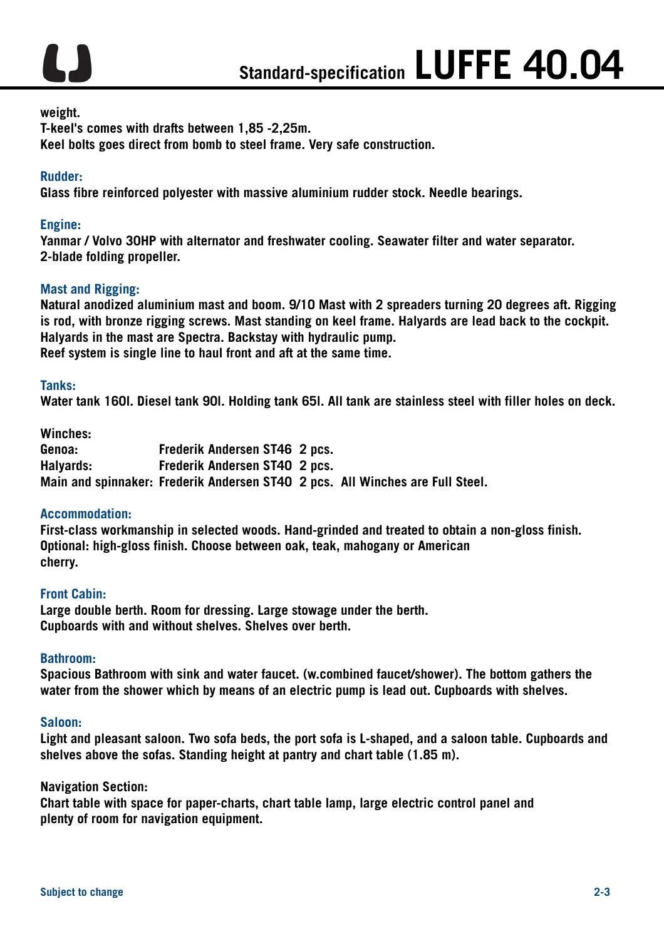

#### **weight.**

**T-keel's comes with drafts between 1,85 -2,25m. Keel bolts goes direct from bomb to steel frame. Very safe construction.** 

#### **Rudder:**

**Glass fibre reinforced polyester with massive aluminium rudder stock. Needle bearings.**

## **Engine:**

**Yanmar / Volvo 30HP with alternator and freshwater cooling. Seawater filter and water separator. 2-blade folding propeller.**

## **Mast and Rigging:**

**Natural anodized aluminium mast and boom. 9/10 Mast with 2 spreaders turning 20 degrees aft. Rigging is rod, with bronze rigging screws. Mast standing on keel frame. Halyards are lead back to the cockpit. Halyards in the mast are Spectra. Backstay with hydraulic pump. Reef system is single line to haul front and aft at the same time.** 

#### **Tanks:**

**Water tank 160l. Diesel tank 90l. Holding tank 65l. All tank are stainless steel with filler holes on deck.**

**Winches:** 

**Genoa: Frederik Andersen ST46 2 pcs. Halyards: Frederik Andersen ST40 2 pcs. Main and spinnaker: Frederik Andersen ST40 2 pcs. All Winches are Full Steel.**

#### **Accommodation:**

**First-class workmanship in selected woods. Hand-grinded and treated to obtain a non-gloss finish. Optional: high-gloss finish. Choose between oak, teak, mahogany or American cherry.** 

#### **Front Cabin:**

**Large double berth. Room for dressing. Large stowage under the berth. Cupboards with and without shelves. Shelves over berth.**

#### **Bathroom:**

**Spacious Bathroom with sink and water faucet. (w.combined faucet/shower). The bottom gathers the water from the shower which by means of an electric pump is lead out. Cupboards with shelves.**

#### **Saloon:**

**Light and pleasant saloon. Two sofa beds, the port sofa is L-shaped, and a saloon table. Cupboards and shelves above the sofas. Standing height at pantry and chart table (1.85 m).**

#### **Navigation Section:**

**Chart table with space for paper-charts, chart table lamp, large electric control panel and plenty of room for navigation equipment.**